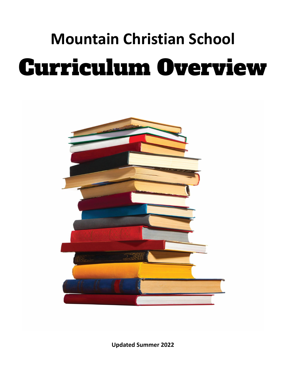# **Mountain Christian School** Curriculum Overview



**Updated Summer 2022**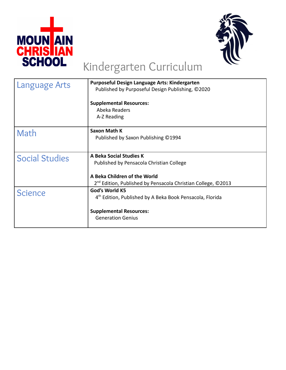



# Kindergarten Curriculum

|                       | Purposeful Design Language Arts: Kindergarten                            |
|-----------------------|--------------------------------------------------------------------------|
| Language Arts         | Published by Purposeful Design Publishing, ©2020                         |
|                       |                                                                          |
|                       | <b>Supplemental Resources:</b>                                           |
|                       |                                                                          |
|                       | Abeka Readers                                                            |
|                       | A-Z Reading                                                              |
|                       |                                                                          |
| Math                  | Saxon Math K                                                             |
|                       | Published by Saxon Publishing ©1994                                      |
|                       |                                                                          |
|                       |                                                                          |
| <b>Social Studies</b> | A Beka Social Studies K                                                  |
|                       | Published by Pensacola Christian College                                 |
|                       |                                                                          |
|                       | A Beka Children of the World                                             |
|                       | $2^{nd}$ Edition, Published by Pensacola Christian College, $\odot$ 2013 |
|                       | God's World K5                                                           |
| <b>Science</b>        | 4 <sup>th</sup> Edition, Published by A Beka Book Pensacola, Florida     |
|                       |                                                                          |
|                       |                                                                          |
|                       | <b>Supplemental Resources:</b>                                           |
|                       | <b>Generation Genius</b>                                                 |
|                       |                                                                          |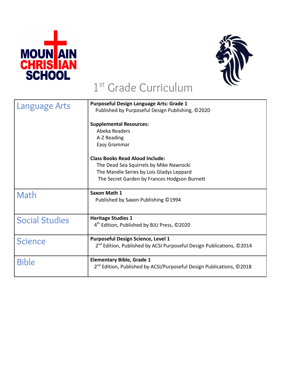



### 1 st Grade Curriculum

| Language Arts         | <b>Purposeful Design Language Arts: Grade 1</b>                                  |
|-----------------------|----------------------------------------------------------------------------------|
|                       | Published by Purposeful Design Publishing, ©2020                                 |
|                       | <b>Supplemental Resources:</b>                                                   |
|                       | Abeka Readers                                                                    |
|                       | A-Z Reading                                                                      |
|                       | Easy Grammar                                                                     |
|                       | <b>Class Books Read Aloud Include:</b>                                           |
|                       | The Dead Sea Squirrels by Mike Nawrocki                                          |
|                       | The Mandie Series by Lois Gladys Leppard                                         |
|                       | The Secret Garden by Frances Hodgson Burnett                                     |
|                       | Saxon Math 1                                                                     |
| Math                  | Published by Saxon Publishing ©1994                                              |
|                       |                                                                                  |
|                       |                                                                                  |
| <b>Social Studies</b> | <b>Heritage Studies 1</b>                                                        |
|                       | 4 <sup>th</sup> Edition, Published by BJU Press, ©2020                           |
| <b>Science</b>        | <b>Purposeful Design Science, Level 1</b>                                        |
|                       | 2 <sup>nd</sup> Edition, Published by ACSI Purposeful Design Publications, ©2014 |
|                       |                                                                                  |
| <b>Bible</b>          | <b>Elementary Bible, Grade 1</b>                                                 |
|                       | 2 <sup>nd</sup> Edition, Published by ACSI/Purposeful Design Publications, ©2018 |
|                       |                                                                                  |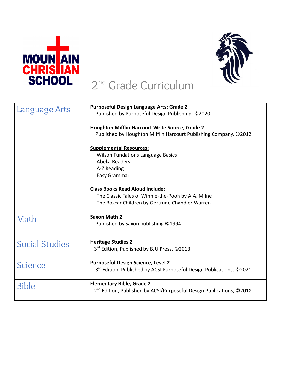



#### 2<sup>nd</sup> Grade Curriculum

| Language Arts         | <b>Purposeful Design Language Arts: Grade 2</b><br>Published by Purposeful Design Publishing, ©2020 |
|-----------------------|-----------------------------------------------------------------------------------------------------|
|                       |                                                                                                     |
|                       | <b>Houghton Mifflin Harcourt Write Source, Grade 2</b>                                              |
|                       | Published by Houghton Mifflin Harcourt Publishing Company, ©2012                                    |
|                       | <b>Supplemental Resources:</b>                                                                      |
|                       | <b>Wilson Fundations Language Basics</b>                                                            |
|                       | Abeka Readers                                                                                       |
|                       | A-Z Reading                                                                                         |
|                       | Easy Grammar                                                                                        |
|                       | <b>Class Books Read Aloud Include:</b>                                                              |
|                       | The Classic Tales of Winnie-the-Pooh by A.A. Milne                                                  |
|                       | The Boxcar Children by Gertrude Chandler Warren                                                     |
| Math                  | <b>Saxon Math 2</b>                                                                                 |
|                       | Published by Saxon publishing ©1994                                                                 |
|                       |                                                                                                     |
| <b>Social Studies</b> | <b>Heritage Studies 2</b>                                                                           |
|                       | 3 <sup>rd</sup> Edition, Published by BJU Press, ©2013                                              |
| <b>Science</b>        | <b>Purposeful Design Science, Level 2</b>                                                           |
|                       | 3 <sup>rd</sup> Edition, Published by ACSI Purposeful Design Publications, ©2021                    |
| <b>Bible</b>          | <b>Elementary Bible, Grade 2</b>                                                                    |
|                       | 2 <sup>nd</sup> Edition, Published by ACSI/Purposeful Design Publications, ©2018                    |
|                       |                                                                                                     |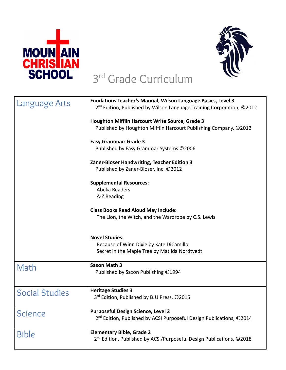



#### 3 rd Grade Curriculum

| Language Arts         | <b>Fundations Teacher's Manual, Wilson Language Basics, Level 3</b><br>$2^{nd}$ Edition, Published by Wilson Language Training Corporation, $\odot$ 2012 |
|-----------------------|----------------------------------------------------------------------------------------------------------------------------------------------------------|
|                       | <b>Houghton Mifflin Harcourt Write Source, Grade 3</b><br>Published by Houghton Mifflin Harcourt Publishing Company, ©2012                               |
|                       | <b>Easy Grammar: Grade 3</b><br>Published by Easy Grammar Systems ©2006                                                                                  |
|                       | Zaner-Bloser Handwriting, Teacher Edition 3<br>Published by Zaner-Bloser, Inc. ©2012                                                                     |
|                       | <b>Supplemental Resources:</b><br>Abeka Readers<br>A-Z Reading                                                                                           |
|                       | <b>Class Books Read Aloud May Include:</b><br>The Lion, the Witch, and the Wardrobe by C.S. Lewis                                                        |
|                       | <b>Novel Studies:</b><br>Because of Winn Dixie by Kate DiCamillo<br>Secret in the Maple Tree by Matilda Nordtvedt                                        |
| Math                  | <b>Saxon Math 3</b><br>Published by Saxon Publishing ©1994                                                                                               |
| <b>Social Studies</b> | <b>Heritage Studies 3</b><br>3 <sup>rd</sup> Edition, Published by BJU Press, ©2015                                                                      |
| <b>Science</b>        | <b>Purposeful Design Science, Level 2</b><br>2 <sup>nd</sup> Edition, Published by ACSI Purposeful Design Publications, ©2014                            |
| <b>Bible</b>          | <b>Elementary Bible, Grade 2</b><br>2 <sup>nd</sup> Edition, Published by ACSI/Purposeful Design Publications, ©2018                                     |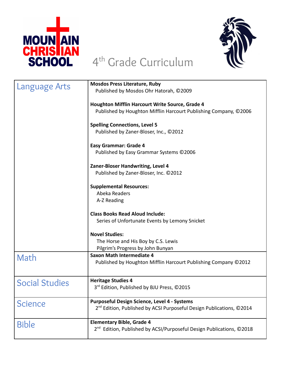



## 4 th Grade Curriculum

| <b>Language Arts</b>  | <b>Mosdos Press Literature, Ruby</b><br>Published by Mosdos Ohr Hatorah, ©2009                                                          |
|-----------------------|-----------------------------------------------------------------------------------------------------------------------------------------|
|                       | Houghton Mifflin Harcourt Write Source, Grade 4<br>Published by Houghton Mifflin Harcourt Publishing Company, ©2006                     |
|                       | <b>Spelling Connections, Level 5</b><br>Published by Zaner-Bloser, Inc., ©2012                                                          |
|                       | <b>Easy Grammar: Grade 4</b><br>Published by Easy Grammar Systems ©2006                                                                 |
|                       | Zaner-Bloser Handwriting, Level 4<br>Published by Zaner-Bloser, Inc. ©2012                                                              |
|                       | <b>Supplemental Resources:</b><br>Abeka Readers<br>A-Z Reading                                                                          |
|                       | <b>Class Books Read Aloud Include:</b><br>Series of Unfortunate Events by Lemony Snicket                                                |
|                       | <b>Novel Studies:</b><br>The Horse and His Boy by C.S. Lewis<br>Pilgrim's Progress by John Bunyan                                       |
| Math                  | <b>Saxon Math Intermediate 4</b><br>Published by Houghton Mifflin Harcourt Publishing Company ©2012                                     |
| <b>Social Studies</b> | <b>Heritage Studies 4</b><br>3 <sup>rd</sup> Edition, Published by BJU Press, ©2015                                                     |
| <b>Science</b>        | <b>Purposeful Design Science, Level 4 - Systems</b><br>2 <sup>nd</sup> Edition, Published by ACSI Purposeful Design Publications, ©2014 |
| <b>Bible</b>          | <b>Elementary Bible, Grade 4</b><br>2 <sup>nd</sup> Edition, Published by ACSI/Purposeful Design Publications, ©2018                    |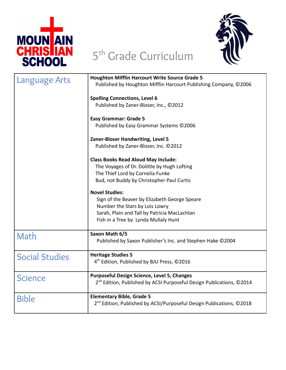

# 5<sup>th</sup> Grade Curriculum



| Language Arts         | <b>Houghton Mifflin Harcourt Write Source Grade 5</b><br>Published by Houghton Mifflin Harcourt Publishing Company, ©2006                                                                        |
|-----------------------|--------------------------------------------------------------------------------------------------------------------------------------------------------------------------------------------------|
|                       | <b>Spelling Connections, Level 6</b><br>Published by Zaner-Bloser, Inc., ©2012                                                                                                                   |
|                       | <b>Easy Grammar: Grade 5</b><br>Published by Easy Grammar Systems ©2006                                                                                                                          |
|                       | Zaner-Bloser Handwriting, Level 5<br>Published by Zaner-Bloser, Inc. ©2012                                                                                                                       |
|                       | <b>Class Books Read Aloud May Include:</b><br>The Voyages of Dr. Dolittle by Hugh Lofting<br>The Thief Lord by Cornelia Funke<br>Bud, not Buddy by Christopher Paul Curtis                       |
|                       | <b>Novel Studies:</b><br>Sign of the Beaver by Elizabeth George Speare<br>Number the Stars by Lois Lowry<br>Sarah, Plain and Tall by Patricia MacLachlan<br>Fish in a Tree by Lynda Mullaly Hunt |
| Math                  | Saxon Math 6/5<br>Published by Saxon Publisher's Inc. and Stephen Hake ©2004                                                                                                                     |
| <b>Social Studies</b> | <b>Heritage Studies 5</b><br>4 <sup>th</sup> Edition, Published by BJU Press, ©2016                                                                                                              |
| <b>Science</b>        | <b>Purposeful Design Science, Level 5, Changes</b><br>2 <sup>nd</sup> Edition, Published by ACSI Purposeful Design Publications, ©2014                                                           |
| <b>Bible</b>          | <b>Elementary Bible, Grade 5</b><br>2 <sup>nd</sup> Edition, Published by ACSI/Purposeful Design Publications, ©2018                                                                             |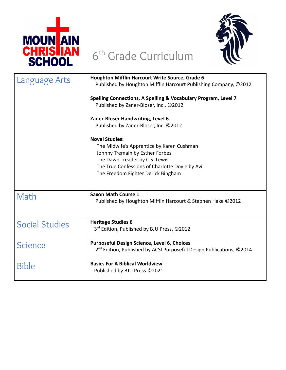

## 6 th Grade Curriculum



| Language Arts         | Houghton Mifflin Harcourt Write Source, Grade 6                                  |
|-----------------------|----------------------------------------------------------------------------------|
|                       | Published by Houghton Mifflin Harcourt Publishing Company, ©2012                 |
|                       | Spelling Connections, A Spelling & Vocabulary Program, Level 7                   |
|                       | Published by Zaner-Bloser, Inc., ©2012                                           |
|                       | Zaner-Bloser Handwriting, Level 6                                                |
|                       | Published by Zaner-Bloser, Inc. ©2012                                            |
|                       | <b>Novel Studies:</b>                                                            |
|                       | The Midwife's Apprentice by Karen Cushman                                        |
|                       | Johnny Tremain by Esther Forbes<br>The Dawn Treader by C.S. Lewis                |
|                       | The True Confessions of Charlotte Doyle by Avi                                   |
|                       | The Freedom Fighter Derick Bingham                                               |
|                       |                                                                                  |
| Math                  | <b>Saxon Math Course 1</b>                                                       |
|                       | Published by Houghton Mifflin Harcourt & Stephen Hake ©2012                      |
|                       |                                                                                  |
| <b>Social Studies</b> | <b>Heritage Studies 6</b>                                                        |
|                       | 3rd Edition, Published by BJU Press, ©2012                                       |
| <b>Science</b>        | <b>Purposeful Design Science, Level 6, Choices</b>                               |
|                       | 2 <sup>nd</sup> Edition, Published by ACSI Purposeful Design Publications, ©2014 |
| <b>Bible</b>          | <b>Basics For A Biblical Worldview</b>                                           |
|                       | Published by BJU Press ©2021                                                     |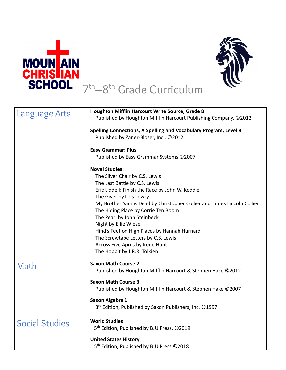



#### 7 th–8 th Grade Curriculum

| Language Arts         | <b>Houghton Mifflin Harcourt Write Source, Grade 8</b><br>Published by Houghton Mifflin Harcourt Publishing Company, ©2012                                                                                                                                                                                                                                                                                                                                                                                  |
|-----------------------|-------------------------------------------------------------------------------------------------------------------------------------------------------------------------------------------------------------------------------------------------------------------------------------------------------------------------------------------------------------------------------------------------------------------------------------------------------------------------------------------------------------|
|                       | <b>Spelling Connections, A Spelling and Vocabulary Program, Level 8</b><br>Published by Zaner-Bloser, Inc., ©2012                                                                                                                                                                                                                                                                                                                                                                                           |
|                       | <b>Easy Grammar: Plus</b><br>Published by Easy Grammar Systems ©2007                                                                                                                                                                                                                                                                                                                                                                                                                                        |
|                       | <b>Novel Studies:</b><br>The Silver Chair by C.S. Lewis<br>The Last Battle by C.S. Lewis<br>Eric Liddell: Finish the Race by John W. Keddie<br>The Giver by Lois Lowry<br>My Brother Sam is Dead by Christopher Collier and James Lincoln Collier<br>The Hiding Place by Corrie Ten Boom<br>The Pearl by John Steinbeck<br>Night by Ellie Wiesel<br>Hind's Feet on High Places by Hannah Hurnard<br>The Screwtape Letters by C.S. Lewis<br>Across Five Aprils by Irene Hunt<br>The Hobbit by J.R.R. Tolkien |
| Math                  | <b>Saxon Math Course 2</b><br>Published by Houghton Mifflin Harcourt & Stephen Hake ©2012                                                                                                                                                                                                                                                                                                                                                                                                                   |
|                       | <b>Saxon Math Course 3</b><br>Published by Houghton Mifflin Harcourt & Stephen Hake ©2007<br>Saxon Algebra 1<br>3 <sup>rd</sup> Edition, Published by Saxon Publishers, Inc. ©1997                                                                                                                                                                                                                                                                                                                          |
| <b>Social Studies</b> | <b>World Studies</b><br>5 <sup>th</sup> Edition, Published by BJU Press, ©2019<br><b>United States History</b>                                                                                                                                                                                                                                                                                                                                                                                              |
|                       | 5 <sup>th</sup> Edition, Published by BJU Press ©2018                                                                                                                                                                                                                                                                                                                                                                                                                                                       |